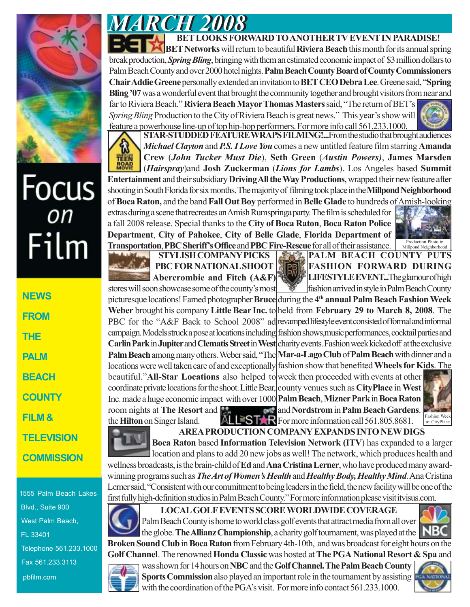

## Focus<br><sub>on</sub> Film

**NEWS FROM THE PALM BEACH COUNTY FILM & TELEVISION COMMISSION**

1555 Palm Beach Lakes Blvd., Suite 900 West Palm Beach, FL 33401 Telephone 561.233.1000 Fax 561.233.3113 pbfilm.com

*MARCH 2008 MARCH 2008* **BET LOOKS FORWARD TO ANOTHER TV EVENT IN PARADISE! BET Networks** will return to beautiful **Riviera Beach** this month for its annual spring break production, *Spring Bling*, bringing with them an estimated economic impact of \$3 million dollars to Palm Beach County and over 2000 hotel nights. **Palm Beach County Board of County Commissioners Chair Addie Greene** personally extended an invitation to **BET CEO Debra Lee**. Greene said, "**Spring**

**Bling '07** was a wonderful event that brought the community together and brought visitors from near and far to Riviera Beach." **Riviera Beach Mayor Thomas Masters** said, "The return of BET's *Spring Bling* Production to the City of Riviera Beach is great news." This year's show will feature a powerhouse line-up of top hip-hop performers. For more info call 561.233.1000.

**STAR-STUDDED FEATURE WRAPS FILMING!...From the studio that brought audiences** *Michael Clayton* and *P.S. I Love You* comes a new untitled feature film starring **Amanda Crew** (*John Tucker Must Die*), **Seth Green** (*Austin Powers)*, **James Marsden**



(*Hairspray*)and **Josh Zuckerman** (*Lions for Lambs*). Los Angeles based **Summit Entertainment** and their subsidiary **Driving All the Way Productions**, wrapped their new feature after shooting in South Florida for six months. The majority of filming took place in the **Millpond Neighborhood** of **Boca Raton,** and the band **Fall Out Boy** performed in **Belle Glade** to hundreds of Amish-looking extras during a scene that recreates an Amish Rumspringa party. The film is scheduled for a fall 2008 release. Special thanks to the **City of Boca Raton**, **Boca Raton Police Department**, **City of Pahokee**, **City of Belle Glade**, **Florida Department of** Production Photo in



**STYLISH COMPANY PICKS PBC FOR NATIONAL SHOOT Abercrombie and Fitch (A&F)**

**STYLISH COMPANY PICKS PALM BEACH COUNTY PUTS FASHION FORWARD DURING LIFESTYLE EVENT...The glamour of high** fashion arrived in style in Palm Beach County Millpond Neighborhood

picturesque locations! Famed photographer Bruce during the 4<sup>th</sup> annual Palm Beach Fashion Week Weber brought his company Little Bear Inc. to held from February 29 to March 8, 2008. The PBC for the "A&F Back to School 2008" ad revamped lifestyle event consisted of formal and informal campaign. Models struck a pose at locations including fashion shows, music performances, cocktail parties and **Carlin Park in Jupiter and Clematis Street in West** charity events. Fashion week kicked off at the exclusive Palm Beach among many others. Weber said, "The Mar-a-Lago Club of Palm Beach with dinner and a locations were well taken care of and exceptionally fashion show that benefited Wheels for Kids. The stores will soon showcase some of the county's most

beautiful."All-Star Locations also helped to week then proceeded with events at other coordinate private locations for the shoot. Little Bear, county venues such as CityPlace in West **Palm Beach**, **Mizner Park** in **Boca Raton** Inc. made a huge economic impact with over 1000 and **Nordstrom** in **Palm Beach Gardens**. the **Hilton** on Singer Island. ALL<sup>STA</sup>R For more information call 561.805.8681. room nights at **The Resort** and



**AREA PRODUCTION COMPANY EXPANDS INTO NEW DIGS**

**Boca Raton** based **Information Television Network (ITV**) has expanded to a larger location and plans to add 20 new jobs as well! The network, which produces health and wellness broadcasts, is the brain-child of **Ed** and **Ana Cristina Lerner**, who have produced many awardwinning programs such as *The Art of Women's Health* and *Healthy Body, Healthy Mind*. Ana Cristina Lerner said, "Consistent with our commitment to being leaders in the field, the new facility will be one of the first fully high-definition studios in Palm Beach County." For more information please visit itvisus.com.



**LOCAL GOLF EVENTS SCORE WORLDWIDE COVERAGE** Palm Beach County is home to world class golf events that attract media from all over the globe. **The Allianz Championship**, a charity golf tournament, was played at the

**Broken Sound Club** in **Boca Raton** from February 4th-10th, and was broadcast for eight hours on the **Golf Channel**. The renowned **Honda Classic** was hosted at **The PGA National Resort & Spa** and



was shown for 14 hours on **NBC** and the **Golf Channel.The Palm Beach County Sports Commission** also played an important role in the tournament by assisting with the coordination of the PGA's visit. For more info contact 561.233.1000.